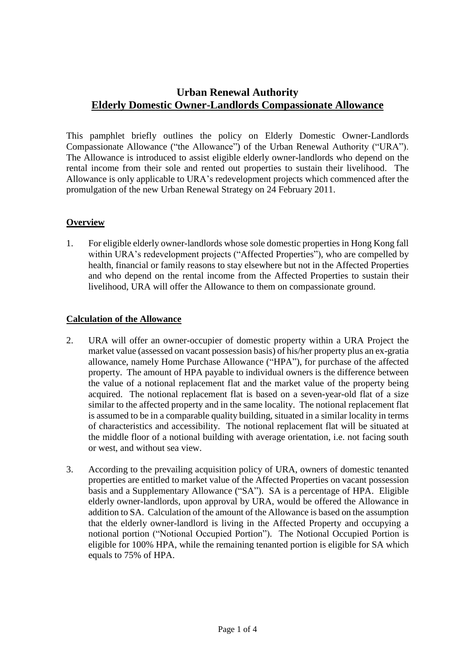# **Urban Renewal Authority Elderly Domestic Owner-Landlords Compassionate Allowance**

This pamphlet briefly outlines the policy on Elderly Domestic Owner-Landlords Compassionate Allowance ("the Allowance") of the Urban Renewal Authority ("URA"). The Allowance is introduced to assist eligible elderly owner-landlords who depend on the rental income from their sole and rented out properties to sustain their livelihood. The Allowance is only applicable to URA's redevelopment projects which commenced after the promulgation of the new Urban Renewal Strategy on 24 February 2011.

## **Overview**

1. For eligible elderly owner-landlords whose sole domestic properties in Hong Kong fall within URA's redevelopment projects ("Affected Properties"), who are compelled by health, financial or family reasons to stay elsewhere but not in the Affected Properties and who depend on the rental income from the Affected Properties to sustain their livelihood, URA will offer the Allowance to them on compassionate ground.

## **Calculation of the Allowance**

- 2. URA will offer an owner-occupier of domestic property within a URA Project the market value (assessed on vacant possession basis) of his/her property plus an ex-gratia allowance, namely Home Purchase Allowance ("HPA"), for purchase of the affected property. The amount of HPA payable to individual owners is the difference between the value of a notional replacement flat and the market value of the property being acquired. The notional replacement flat is based on a seven-year-old flat of a size similar to the affected property and in the same locality. The notional replacement flat is assumed to be in a comparable quality building, situated in a similar locality in terms of characteristics and accessibility. The notional replacement flat will be situated at the middle floor of a notional building with average orientation, i.e. not facing south or west, and without sea view.
- 3. According to the prevailing acquisition policy of URA, owners of domestic tenanted properties are entitled to market value of the Affected Properties on vacant possession basis and a Supplementary Allowance ("SA"). SA is a percentage of HPA. Eligible elderly owner-landlords, upon approval by URA, would be offered the Allowance in addition to SA. Calculation of the amount of the Allowance is based on the assumption that the elderly owner-landlord is living in the Affected Property and occupying a notional portion ("Notional Occupied Portion"). The Notional Occupied Portion is eligible for 100% HPA, while the remaining tenanted portion is eligible for SA which equals to 75% of HPA.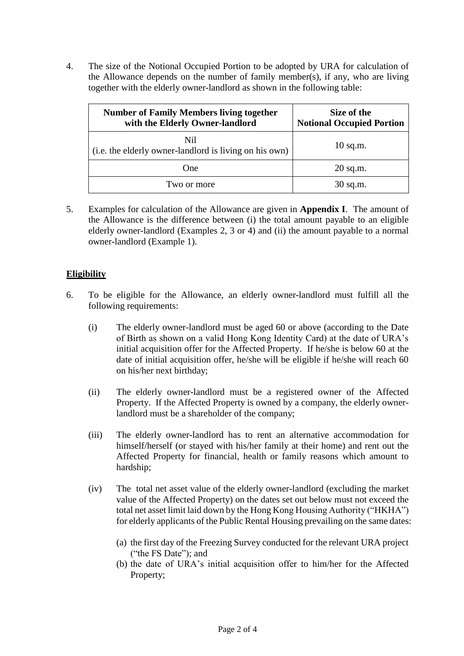4. The size of the Notional Occupied Portion to be adopted by URA for calculation of the Allowance depends on the number of family member(s), if any, who are living together with the elderly owner-landlord as shown in the following table:

| <b>Number of Family Members living together</b><br>with the Elderly Owner-landlord | Size of the<br><b>Notional Occupied Portion</b> |
|------------------------------------------------------------------------------------|-------------------------------------------------|
| Nil<br>(i.e. the elderly owner-landlord is living on his own)                      | $10$ sq.m.                                      |
| One                                                                                | $20$ sq.m.                                      |
| Two or more                                                                        | $30$ sq.m.                                      |

5. Examples for calculation of the Allowance are given in **Appendix I**. The amount of the Allowance is the difference between (i) the total amount payable to an eligible elderly owner-landlord (Examples 2, 3 or 4) and (ii) the amount payable to a normal owner-landlord (Example 1).

## **Eligibility**

- 6. To be eligible for the Allowance, an elderly owner-landlord must fulfill all the following requirements:
	- (i) The elderly owner-landlord must be aged 60 or above (according to the Date of Birth as shown on a valid Hong Kong Identity Card) at the date of URA's initial acquisition offer for the Affected Property. If he/she is below 60 at the date of initial acquisition offer, he/she will be eligible if he/she will reach 60 on his/her next birthday;
	- (ii) The elderly owner-landlord must be a registered owner of the Affected Property. If the Affected Property is owned by a company, the elderly ownerlandlord must be a shareholder of the company;
	- (iii) The elderly owner-landlord has to rent an alternative accommodation for himself/herself (or stayed with his/her family at their home) and rent out the Affected Property for financial, health or family reasons which amount to hardship;
	- (iv) The total net asset value of the elderly owner-landlord (excluding the market value of the Affected Property) on the dates set out below must not exceed the total net asset limit laid down by the Hong Kong Housing Authority ("HKHA") for elderly applicants of the Public Rental Housing prevailing on the same dates:
		- (a) the first day of the Freezing Survey conducted for the relevant URA project ("the FS Date"); and
		- (b) the date of URA's initial acquisition offer to him/her for the Affected Property;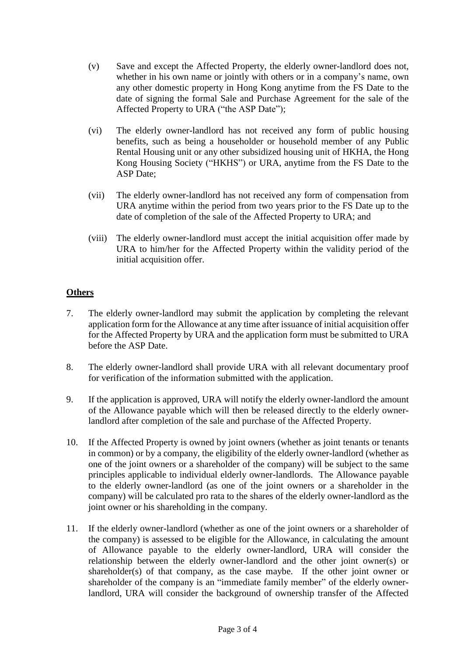- (v) Save and except the Affected Property, the elderly owner-landlord does not, whether in his own name or jointly with others or in a company's name, own any other domestic property in Hong Kong anytime from the FS Date to the date of signing the formal Sale and Purchase Agreement for the sale of the Affected Property to URA ("the ASP Date");
- (vi) The elderly owner-landlord has not received any form of public housing benefits, such as being a householder or household member of any Public Rental Housing unit or any other subsidized housing unit of HKHA, the Hong Kong Housing Society ("HKHS") or URA, anytime from the FS Date to the ASP Date;
- (vii) The elderly owner-landlord has not received any form of compensation from URA anytime within the period from two years prior to the FS Date up to the date of completion of the sale of the Affected Property to URA; and
- (viii) The elderly owner-landlord must accept the initial acquisition offer made by URA to him/her for the Affected Property within the validity period of the initial acquisition offer.

## **Others**

- 7. The elderly owner-landlord may submit the application by completing the relevant application form for the Allowance at any time after issuance of initial acquisition offer for the Affected Property by URA and the application form must be submitted to URA before the ASP Date.
- 8. The elderly owner-landlord shall provide URA with all relevant documentary proof for verification of the information submitted with the application.
- 9. If the application is approved, URA will notify the elderly owner-landlord the amount of the Allowance payable which will then be released directly to the elderly ownerlandlord after completion of the sale and purchase of the Affected Property.
- 10. If the Affected Property is owned by joint owners (whether as joint tenants or tenants in common) or by a company, the eligibility of the elderly owner-landlord (whether as one of the joint owners or a shareholder of the company) will be subject to the same principles applicable to individual elderly owner-landlords. The Allowance payable to the elderly owner-landlord (as one of the joint owners or a shareholder in the company) will be calculated pro rata to the shares of the elderly owner-landlord as the joint owner or his shareholding in the company.
- 11. If the elderly owner-landlord (whether as one of the joint owners or a shareholder of the company) is assessed to be eligible for the Allowance, in calculating the amount of Allowance payable to the elderly owner-landlord, URA will consider the relationship between the elderly owner-landlord and the other joint owner(s) or shareholder(s) of that company, as the case maybe. If the other joint owner or shareholder of the company is an "immediate family member" of the elderly ownerlandlord, URA will consider the background of ownership transfer of the Affected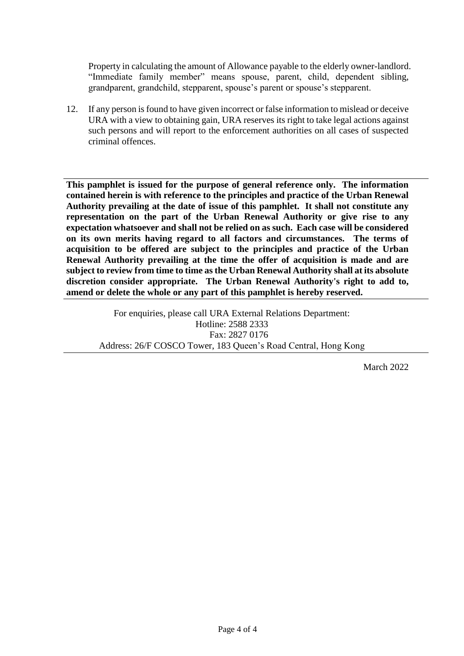Property in calculating the amount of Allowance payable to the elderly owner-landlord. "Immediate family member" means spouse, parent, child, dependent sibling, grandparent, grandchild, stepparent, spouse's parent or spouse's stepparent.

12. If any person is found to have given incorrect or false information to mislead or deceive URA with a view to obtaining gain, URA reserves its right to take legal actions against such persons and will report to the enforcement authorities on all cases of suspected criminal offences.

**This pamphlet is issued for the purpose of general reference only. The information contained herein is with reference to the principles and practice of the Urban Renewal Authority prevailing at the date of issue of this pamphlet. It shall not constitute any representation on the part of the Urban Renewal Authority or give rise to any expectation whatsoever and shall not be relied on as such. Each case will be considered on its own merits having regard to all factors and circumstances. The terms of acquisition to be offered are subject to the principles and practice of the Urban Renewal Authority prevailing at the time the offer of acquisition is made and are subject to review from time to time as the Urban Renewal Authority shall at its absolute discretion consider appropriate. The Urban Renewal Authority's right to add to, amend or delete the whole or any part of this pamphlet is hereby reserved.**

For enquiries, please call URA External Relations Department: Hotline: 2588 2333 Fax: 2827 0176 Address: 26/F COSCO Tower, 183 Queen's Road Central, Hong Kong

March 2022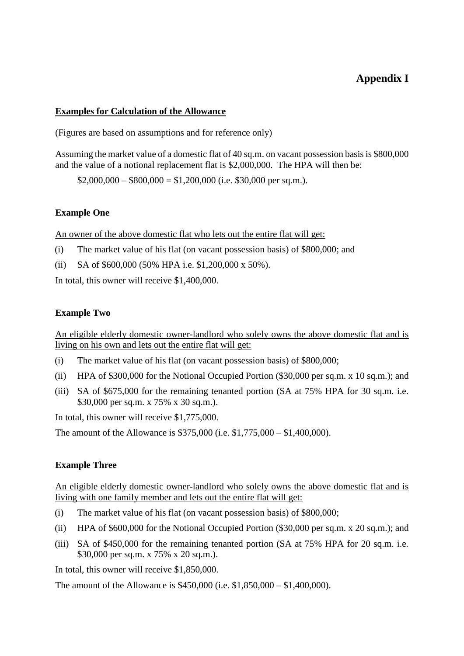# **Appendix I**

#### **Examples for Calculation of the Allowance**

(Figures are based on assumptions and for reference only)

Assuming the market value of a domestic flat of 40 sq.m. on vacant possession basis is \$800,000 and the value of a notional replacement flat is \$2,000,000. The HPA will then be:

 $$2,000,000 - $800,000 = $1,200,000$  (i.e. \$30,000 per sq.m.).

#### **Example One**

An owner of the above domestic flat who lets out the entire flat will get:

- (i) The market value of his flat (on vacant possession basis) of \$800,000; and
- (ii) SA of \$600,000 (50% HPA i.e. \$1,200,000 x 50%).

In total, this owner will receive \$1,400,000.

#### **Example Two**

An eligible elderly domestic owner-landlord who solely owns the above domestic flat and is living on his own and lets out the entire flat will get:

- (i) The market value of his flat (on vacant possession basis) of \$800,000;
- (ii) HPA of \$300,000 for the Notional Occupied Portion (\$30,000 per sq.m. x 10 sq.m.); and
- (iii) SA of \$675,000 for the remaining tenanted portion (SA at 75% HPA for 30 sq.m. i.e. \$30,000 per sq.m. x 75% x 30 sq.m.).

In total, this owner will receive \$1,775,000.

The amount of the Allowance is \$375,000 (i.e. \$1,775,000 – \$1,400,000).

### **Example Three**

An eligible elderly domestic owner-landlord who solely owns the above domestic flat and is living with one family member and lets out the entire flat will get:

- (i) The market value of his flat (on vacant possession basis) of \$800,000;
- (ii) HPA of \$600,000 for the Notional Occupied Portion (\$30,000 per sq.m. x 20 sq.m.); and
- (iii) SA of \$450,000 for the remaining tenanted portion (SA at 75% HPA for 20 sq.m. i.e. \$30,000 per sq.m. x 75% x 20 sq.m.).

In total, this owner will receive \$1,850,000.

The amount of the Allowance is \$450,000 (i.e. \$1,850,000 – \$1,400,000).